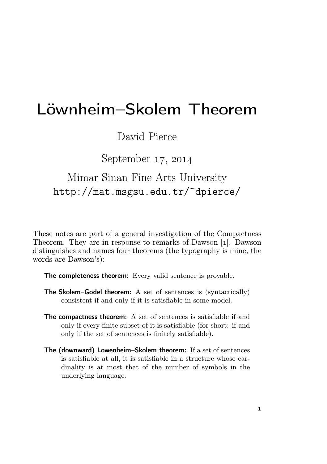# Löwnheim–Skolem Theorem

### David Pierce

September  $17, 2014$ 

## Mimar Sinan Fine Arts University http://mat.msgsu.edu.tr/~dpierce/

These notes are part of a general investigation of the Compactness Theorem. They are in response to remarks of Dawson [1]. Dawson distinguishes and names four theorems (the typography is mine, the words are Dawson's):

The completeness theorem: Every valid sentence is provable.

- The Skolem–Godel theorem: A set of sentences is (syntactically) consistent if and only if it is satisfiable in some model.
- The compactness theorem: A set of sentences is satisfiable if and only if every finite subset of it is satisfiable (for short: if and only if the set of sentences is finitely satisfiable).
- The (downward) Lowenheim–Skolem theorem: If a set of sentences is satisfiable at all, it is satisfiable in a structure whose cardinality is at most that of the number of symbols in the underlying language.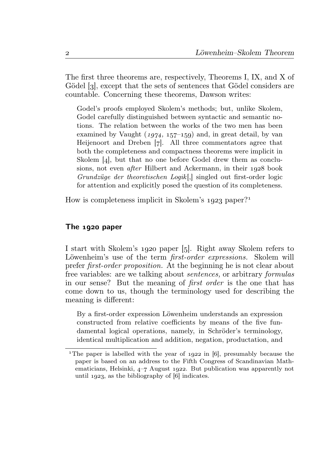The first three theorems are, respectively, Theorems I, IX, and X of Gödel [3], except that the sets of sentences that Gödel considers are countable. Concerning these theorems, Dawson writes:

Godel's proofs employed Skolem's methods; but, unlike Skolem, Godel carefully distinguished between syntactic and semantic notions. The relation between the works of the two men has been examined by Vaught  $(1974, 157-159)$  and, in great detail, by van Heijenoort and Dreben [7]. All three commentators agree that both the completeness and compactness theorems were implicit in Skolem  $[4]$ , but that no one before Godel drew them as conclusions, not even *after* Hilbert and Ackermann, in their 1928 book Grundzüge der theoretischen Logik [,] singled out first-order logic for attention and explicitly posed the question of its completeness.

How is completeness implicit in Skolem's  $1923$  paper?<sup>1</sup>

#### The  $1920$  paper

I start with Skolem's 1920 paper [5]. Right away Skolem refers to Löwenheim's use of the term *first-order expressions*. Skolem will prefer first-order proposition. At the beginning he is not clear about free variables: are we talking about sentences, or arbitrary formulas in our sense? But the meaning of first order is the one that has come down to us, though the terminology used for describing the meaning is different:

By a first-order expression Löwenheim understands an expression constructed from relative coefficients by means of the five fundamental logical operations, namely, in Schröder's terminology, identical multiplication and addition, negation, productation, and

<sup>&</sup>lt;sup>1</sup>The paper is labelled with the year of  $1922$  in [6], presumably because the paper is based on an address to the Fifth Congress of Scandinavian Mathematicians, Helsinki,  $4-7$  August 1922. But publication was apparently not until  $1923$ , as the bibliography of [6] indicates.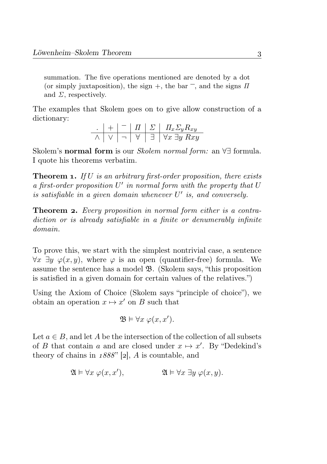summation. The five operations mentioned are denoted by a dot (or simply juxtaposition), the sign +, the bar<sup>-</sup>, and the signs  $\Pi$ and  $\Sigma$ , respectively.

The examples that Skolem goes on to give allow construction of a dictionary:

$$
\begin{array}{c|c|c|c|c|c|c|c|c} \hline \cdot & + & - & \text{II} & \Sigma & \text{II}_x \Sigma_y \text{R}_{xy} \\ \hline \land & \lor & - & \forall & \exists & \forall x \exists y \text{ R} xy \end{array}
$$

Skolem's normal form is our Skolem normal form: an ∀∃ formula. I quote his theorems verbatim.

**Theorem 1.** If U is an arbitrary first-order proposition, there exists  $a$  first-order proposition  $U'$  in normal form with the property that  $U$ is satisfiable in a given domain whenever  $U'$  is, and conversely.

**Theorem 2.** Every proposition in normal form either is a contradiction or is already satisfiable in a finite or denumerably infinite domain.

To prove this, we start with the simplest nontrivial case, a sentence  $\forall x \exists y \varphi(x, y)$ , where  $\varphi$  is an open (quantifier-free) formula. We assume the sentence has a model B. (Skolem says, "this proposition is satisfied in a given domain for certain values of the relatives.")

Using the Axiom of Choice (Skolem says "principle of choice"), we obtain an operation  $x \mapsto x'$  on B such that

$$
\mathfrak{B} \models \forall x \ \varphi(x, x').
$$

Let  $a \in B$ , and let A be the intersection of the collection of all subsets of B that contain a and are closed under  $x \mapsto x'$ . By "Dedekind's theory of chains in  $1888"$  [2], A is countable, and

$$
\mathfrak{A} \vDash \forall x \ \varphi(x, x'), \qquad \qquad \mathfrak{A} \vDash \forall x \ \exists y \ \varphi(x, y).
$$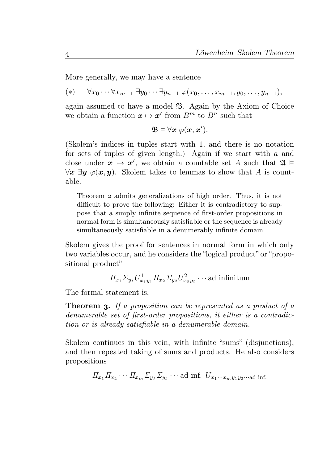More generally, we may have a sentence

 $(*) \forall x_0 \cdots \forall x_{m-1} \exists y_0 \cdots \exists y_{n-1} \varphi(x_0, \ldots, x_{m-1}, y_0, \ldots, y_{n-1}),$ 

again assumed to have a model B. Again by the Axiom of Choice we obtain a function  $x \mapsto x'$  from  $B^m$  to  $B^n$  such that

$$
\mathfrak{B}\vDash\forall x\ \varphi(x,x').
$$

(Skolem's indices in tuples start with 1, and there is no notation for sets of tuples of given length.) Again if we start with a and close under  $x \mapsto x'$ , we obtain a countable set A such that  $\mathfrak{A} \models$  $\forall x \exists y \varphi(x, y)$ . Skolem takes to lemmas to show that A is countable.

Theorem 2 admits generalizations of high order. Thus, it is not difficult to prove the following: Either it is contradictory to suppose that a simply infinite sequence of first-order propositions in normal form is simultaneously satisfiable or the sequence is already simultaneously satisfiable in a denumerably infinite domain.

Skolem gives the proof for sentences in normal form in which only two variables occur, and he considers the "logical product" or "propositional product"

$$
\Pi_{x_1} \Sigma_{y_1} U^1_{x_1y_1} \Pi_{x_2} \Sigma_{y_2} U^2_{x_2y_2} \cdots \text{ad infinitum}
$$

The formal statement is,

**Theorem 3.** If a proposition can be represented as a product of a denumerable set of first-order propositions, it either is a contradiction or is already satisfiable in a denumerable domain.

Skolem continues in this vein, with infinite "sums" (disjunctions). and then repeated taking of sums and products. He also considers propositions

$$
\Pi_{x_1}\Pi_{x_2}\cdots\Pi_{x_m}\Sigma_{y_1}\Sigma_{y_2}\cdots
$$
ad inf.  $U_{x_1\cdots x_my_1y_2\cdots}$ ad inf.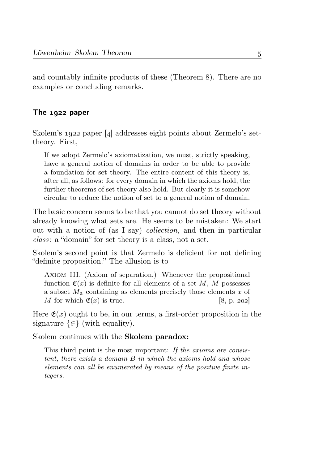and countably infinite products of these (Theorem 8). There are no examples or concluding remarks.

#### The  $1922$  paper

Skolem's 1922 paper [4] addresses eight points about Zermelo's settheory. First,

If we adopt Zermelo's axiomatization, we must, strictly speaking, have a general notion of domains in order to be able to provide a foundation for set theory. The entire content of this theory is, after all, as follows: for every domain in which the axioms hold, the further theorems of set theory also hold. But clearly it is somehow circular to reduce the notion of set to a general notion of domain.

The basic concern seems to be that you cannot do set theory without already knowing what sets are. He seems to be mistaken: We start out with a notion of (as I say) collection, and then in particular class: a "domain" for set theory is a class, not a set.

Skolem's second point is that Zermelo is deficient for not defining "definite proposition." The allusion is to

Axiom III. (Axiom of separation.) Whenever the propositional function  $\mathfrak{E}(x)$  is definite for all elements of a set M, M possesses a subset  $M_{\mathfrak{E}}$  containing as elements precisely those elements x of M for which  $\mathfrak{E}(x)$  is true. [8, p. 202]

Here  $\mathfrak{E}(x)$  ought to be, in our terms, a first-order proposition in the signature  $\{\in\}$  (with equality).

Skolem continues with the Skolem paradox:

This third point is the most important: If the axioms are consistent, there exists a domain B in which the axioms hold and whose elements can all be enumerated by means of the positive finite integers.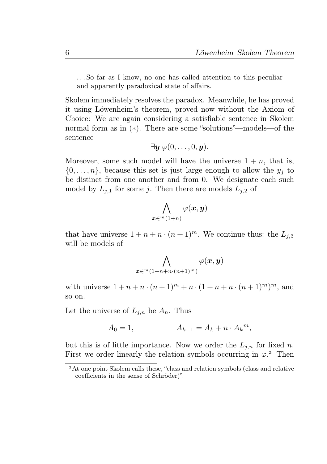. . . So far as I know, no one has called attention to this peculiar and apparently paradoxical state of affairs.

Skolem immediately resolves the paradox. Meanwhile, he has proved it using Löwenheim's theorem, proved now without the Axiom of Choice: We are again considering a satisfiable sentence in Skolem normal form as in (∗). There are some "solutions"—models—of the sentence

$$
\exists \boldsymbol{y} \ \varphi(0,\dots,0,\boldsymbol{y}).
$$

Moreover, some such model will have the universe  $1 + n$ , that is,  $\{0,\ldots,n\}$ , because this set is just large enough to allow the  $y_j$  to be distinct from one another and from 0. We designate each such model by  $L_{i,1}$  for some j. Then there are models  $L_{i,2}$  of

$$
\bigwedge_{\bm{x} \in^m(1+n)} \varphi(\bm{x},\bm{y})
$$

that have universe  $1 + n + n \cdot (n + 1)^m$ . We continue thus: the  $L_{i,3}$ will be models of

$$
\bigwedge_{\boldsymbol{x} \in {}^m(1+n+n\cdot (n+1)^m)}\varphi(\boldsymbol{x},\boldsymbol{y})
$$

with universe  $1 + n + n \cdot (n+1)^m + n \cdot (1 + n + n \cdot (n+1)^m)^m$ , and so on.

Let the universe of  $L_{i,n}$  be  $A_n$ . Thus

$$
A_0 = 1, \t A_{k+1} = A_k + n \cdot A_k^m,
$$

but this is of little importance. Now we order the  $L_{j,n}$  for fixed n. First we order linearly the relation symbols occurring in  $\varphi$ <sup>2</sup>. Then

<sup>&</sup>lt;sup>2</sup>At one point Skolem calls these, "class and relation symbols (class and relative coefficients in the sense of Schröder)".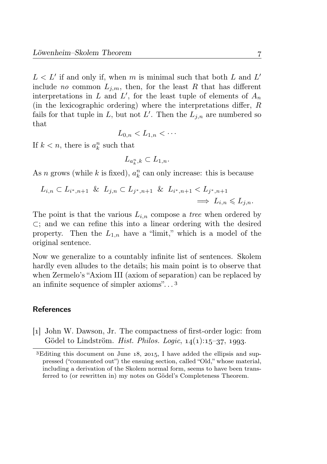$L < L'$  if and only if, when m is minimal such that both L and L' include no common  $L_{im}$ , then, for the least R that has different interpretations in L and L', for the least tuple of elements of  $A_n$ (in the lexicographic ordering) where the interpretations differ,  $R$ fails for that tuple in L, but not L'. Then the  $L_{j,n}$  are numbered so that

$$
L_{0,n} < L_{1,n} < \cdots
$$

If  $k < n$ , there is  $a_k^n$  such that

$$
L_{a_k^n,k}\subset L_{1,n}.
$$

As *n* grows (while *k* is fixed),  $a_k^n$  can only increase: this is because

$$
L_{i,n} \subset L_{i^*,n+1} \& L_{j,n} \subset L_{j^*,n+1} \& L_{i^*,n+1} < L_{j^*,n+1} \\
\implies L_{i,n} \leq L_{j,n}.
$$

The point is that the various  $L_{i,n}$  compose a tree when ordered by ⊂; and we can refine this into a linear ordering with the desired property. Then the  $L_{1,n}$  have a "limit," which is a model of the original sentence.

Now we generalize to a countably infinite list of sentences. Skolem hardly even alludes to the details; his main point is to observe that when Zermelo's "Axiom III (axiom of separation) can be replaced by an infinite sequence of simpler axioms". . .

#### References

[] John W. Dawson, Jr. The compactness of first-order logic: from Gödel to Lindström. Hist. Philos. Logic,  $14(1):15-37$ , 1993.

<sup>&</sup>lt;sup>3</sup>Editing this document on June  $18$ ,  $2015$ , I have added the ellipsis and suppressed ("commented out") the ensuing section, called "Old," whose material, including a derivation of the Skolem normal form, seems to have been transferred to (or rewritten in) my notes on Gödel's Completeness Theorem.